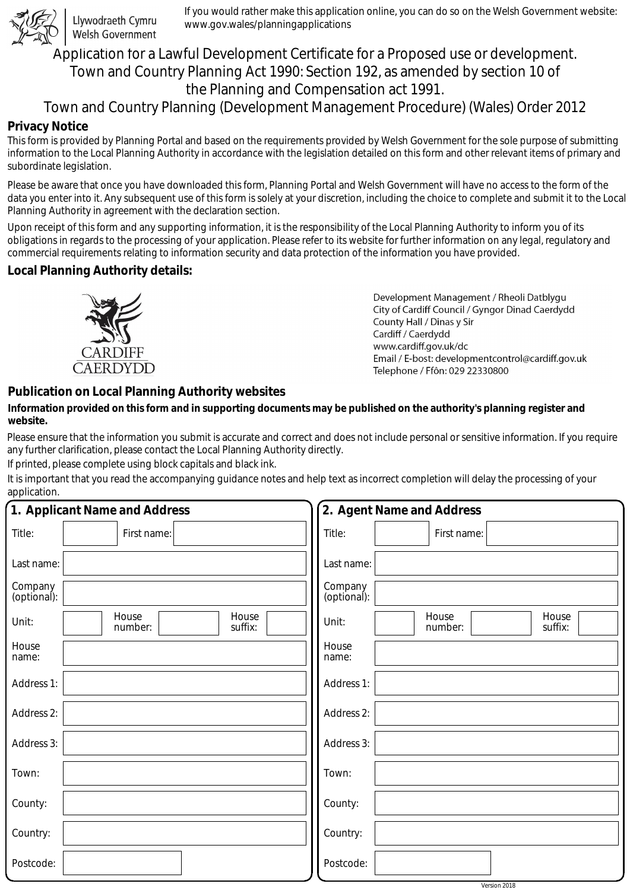

Llywodraeth Cymru Welsh Government

If you would rather make this application online, you can do so on the Welsh Government website: www.gov.wales/planningapplications

# Application for a Lawful Development Certificate for a Proposed use or development. Town and Country Planning Act 1990: Section 192, as amended by section 10 of the Planning and Compensation act 1991.

## Town and Country Planning (Development Management Procedure) (Wales) Order 2012

### **Privacy Notice**

This form is provided by Planning Portal and based on the requirements provided by Welsh Government for the sole purpose of submitting information to the Local Planning Authority in accordance with the legislation detailed on this form and other relevant items of primary and subordinate legislation.

Please be aware that once you have downloaded this form, Planning Portal and Welsh Government will have no access to the form of the data you enter into it. Any subsequent use of this form is solely at your discretion, including the choice to complete and submit it to the Local Planning Authority in agreement with the declaration section.

Upon receipt of this form and any supporting information, it is the responsibility of the Local Planning Authority to inform you of its obligations in regards to the processing of your application. Please refer to its website for further information on any legal, regulatory and commercial requirements relating to information security and data protection of the information you have provided.

### **Local Planning Authority details:**



Development Management / Rheoli Datblygu City of Cardiff Council / Gyngor Dinad Caerdydd County Hall / Dinas y Sir Cardiff / Caerdydd www.cardiff.gov.uk/dc Email / E-bost: developmentcontrol@cardiff.gov.uk Telephone / Ffôn: 029 22330800

### **Publication on Local Planning Authority websites**

#### **Information provided on this form and in supporting documents may be published on the authority's planning register and website.**

Please ensure that the information you submit is accurate and correct and does not include personal or sensitive information. If you require any further clarification, please contact the Local Planning Authority directly.

If printed, please complete using block capitals and black ink.

It is important that you read the accompanying guidance notes and help text as incorrect completion will delay the processing of your application.

|                        | 1. Applicant Name and Address        | 2. Agent Name and Address                     |
|------------------------|--------------------------------------|-----------------------------------------------|
| Title:                 | First name:                          | Title:<br>First name:                         |
| Last name:             |                                      | Last name:                                    |
| Company<br>(optional): |                                      | Company<br>(optional):                        |
| Unit:                  | House<br>House<br>suffix:<br>number: | House<br>House<br>Unit:<br>suffix:<br>number: |
| House<br>name:         |                                      | House<br>name:                                |
| Address 1:             |                                      | Address 1:                                    |
| Address 2:             |                                      | Address 2:                                    |
| Address 3:             |                                      | Address 3:                                    |
| Town:                  |                                      | Town:                                         |
| County:                |                                      | County:                                       |
| Country:               |                                      | Country:                                      |
| Postcode:              |                                      | Postcode:                                     |

Version 2018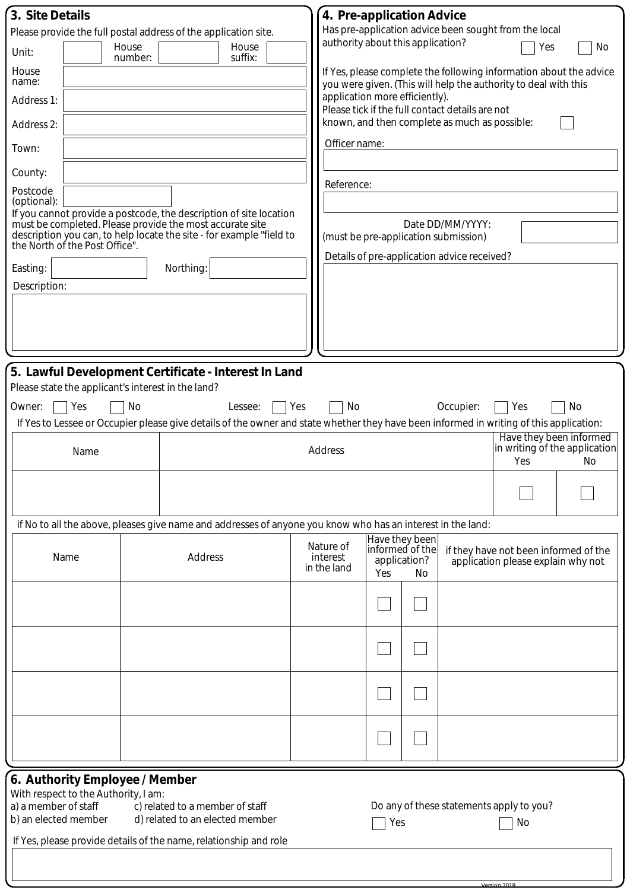| 3. Site Details         |                                      |                  |                                                                 |                                                                                                                                         |     | 4. Pre-application Advice         |                                 |                |                                                 |                                                                                                                                       |                                      |  |
|-------------------------|--------------------------------------|------------------|-----------------------------------------------------------------|-----------------------------------------------------------------------------------------------------------------------------------------|-----|-----------------------------------|---------------------------------|----------------|-------------------------------------------------|---------------------------------------------------------------------------------------------------------------------------------------|--------------------------------------|--|
|                         |                                      |                  | Please provide the full postal address of the application site. |                                                                                                                                         |     |                                   |                                 |                |                                                 | Has pre-application advice been sought from the local                                                                                 |                                      |  |
| Unit:                   |                                      | House<br>number: |                                                                 | House<br>suffix:                                                                                                                        |     | authority about this application? |                                 |                |                                                 | Yes                                                                                                                                   | No                                   |  |
| House<br>name:          |                                      |                  |                                                                 |                                                                                                                                         |     |                                   |                                 |                |                                                 | If Yes, please complete the following information about the advice<br>you were given. (This will help the authority to deal with this |                                      |  |
| Address 1:              |                                      |                  |                                                                 |                                                                                                                                         |     | application more efficiently).    |                                 |                | Please tick if the full contact details are not |                                                                                                                                       |                                      |  |
| Address 2:              |                                      |                  |                                                                 |                                                                                                                                         |     |                                   |                                 |                | known, and then complete as much as possible:   |                                                                                                                                       |                                      |  |
| Town:                   |                                      |                  |                                                                 |                                                                                                                                         |     | Officer name:                     |                                 |                |                                                 |                                                                                                                                       |                                      |  |
| County:                 |                                      |                  |                                                                 |                                                                                                                                         |     | Reference:                        |                                 |                |                                                 |                                                                                                                                       |                                      |  |
| Postcode<br>(optional): |                                      |                  |                                                                 |                                                                                                                                         |     |                                   |                                 |                |                                                 |                                                                                                                                       |                                      |  |
|                         |                                      |                  | must be completed. Please provide the most accurate site        | If you cannot provide a postcode, the description of site location                                                                      |     |                                   |                                 |                | Date DD/MM/YYYY:                                |                                                                                                                                       |                                      |  |
|                         |                                      |                  |                                                                 | description you can, to help locate the site - for example "field to<br>the North of the Post Office".                                  |     |                                   |                                 |                | (must be pre-application submission)            |                                                                                                                                       |                                      |  |
| Easting:                |                                      |                  | Northing:                                                       |                                                                                                                                         |     |                                   |                                 |                | Details of pre-application advice received?     |                                                                                                                                       |                                      |  |
| Description:            |                                      |                  |                                                                 |                                                                                                                                         |     |                                   |                                 |                |                                                 |                                                                                                                                       |                                      |  |
|                         |                                      |                  |                                                                 |                                                                                                                                         |     |                                   |                                 |                |                                                 |                                                                                                                                       |                                      |  |
|                         |                                      |                  |                                                                 |                                                                                                                                         |     |                                   |                                 |                |                                                 |                                                                                                                                       |                                      |  |
|                         |                                      |                  |                                                                 |                                                                                                                                         |     |                                   |                                 |                |                                                 |                                                                                                                                       |                                      |  |
|                         |                                      |                  |                                                                 | 5. Lawful Development Certificate - Interest In Land                                                                                    |     |                                   |                                 |                |                                                 |                                                                                                                                       |                                      |  |
|                         |                                      |                  | Please state the applicant's interest in the land?              |                                                                                                                                         |     |                                   |                                 |                |                                                 |                                                                                                                                       |                                      |  |
| Owner:                  | Yes                                  | No               |                                                                 | Lessee:                                                                                                                                 | Yes | No                                |                                 |                | Occupier:                                       | Yes                                                                                                                                   | No                                   |  |
|                         |                                      |                  |                                                                 | If Yes to Lessee or Occupier please give details of the owner and state whether they have been informed in writing of this application: |     |                                   |                                 |                |                                                 | Have they been informed                                                                                                               |                                      |  |
|                         | Name                                 |                  |                                                                 |                                                                                                                                         |     | Address                           |                                 |                |                                                 | Yes                                                                                                                                   | in writing of the application<br>No. |  |
|                         |                                      |                  |                                                                 |                                                                                                                                         |     |                                   |                                 |                |                                                 |                                                                                                                                       |                                      |  |
|                         |                                      |                  |                                                                 |                                                                                                                                         |     |                                   |                                 |                |                                                 |                                                                                                                                       |                                      |  |
|                         |                                      |                  |                                                                 | if No to all the above, pleases give name and addresses of anyone you know who has an interest in the land:                             |     |                                   |                                 |                |                                                 |                                                                                                                                       |                                      |  |
|                         |                                      |                  |                                                                 |                                                                                                                                         |     | Nature of                         |                                 | Have they been |                                                 |                                                                                                                                       |                                      |  |
|                         | Name                                 |                  | Address                                                         |                                                                                                                                         |     | interest<br>in the land           | informed of the<br>application? |                |                                                 | if they have not been informed of the<br>application please explain why not                                                           |                                      |  |
|                         |                                      |                  |                                                                 |                                                                                                                                         |     |                                   | Yes                             | No             |                                                 |                                                                                                                                       |                                      |  |
|                         |                                      |                  |                                                                 |                                                                                                                                         |     |                                   |                                 |                |                                                 |                                                                                                                                       |                                      |  |
|                         |                                      |                  |                                                                 |                                                                                                                                         |     |                                   |                                 |                |                                                 |                                                                                                                                       |                                      |  |
|                         |                                      |                  |                                                                 |                                                                                                                                         |     |                                   |                                 |                |                                                 |                                                                                                                                       |                                      |  |
|                         |                                      |                  |                                                                 |                                                                                                                                         |     |                                   |                                 |                |                                                 |                                                                                                                                       |                                      |  |
|                         |                                      |                  |                                                                 |                                                                                                                                         |     |                                   |                                 |                |                                                 |                                                                                                                                       |                                      |  |
|                         |                                      |                  |                                                                 |                                                                                                                                         |     |                                   |                                 |                |                                                 |                                                                                                                                       |                                      |  |
|                         |                                      |                  |                                                                 |                                                                                                                                         |     |                                   |                                 |                |                                                 |                                                                                                                                       |                                      |  |
|                         |                                      |                  |                                                                 |                                                                                                                                         |     |                                   |                                 |                |                                                 |                                                                                                                                       |                                      |  |
|                         | 6. Authority Employee / Member       |                  |                                                                 |                                                                                                                                         |     |                                   |                                 |                |                                                 |                                                                                                                                       |                                      |  |
| a) a member of staff    | With respect to the Authority, I am: |                  | c) related to a member of staff                                 |                                                                                                                                         |     |                                   |                                 |                |                                                 | Do any of these statements apply to you?                                                                                              |                                      |  |
| b) an elected member    |                                      |                  | d) related to an elected member                                 |                                                                                                                                         |     |                                   | Yes                             |                |                                                 | No                                                                                                                                    |                                      |  |
|                         |                                      |                  |                                                                 | If Yes, please provide details of the name, relationship and role                                                                       |     |                                   |                                 |                |                                                 |                                                                                                                                       |                                      |  |

Version 2018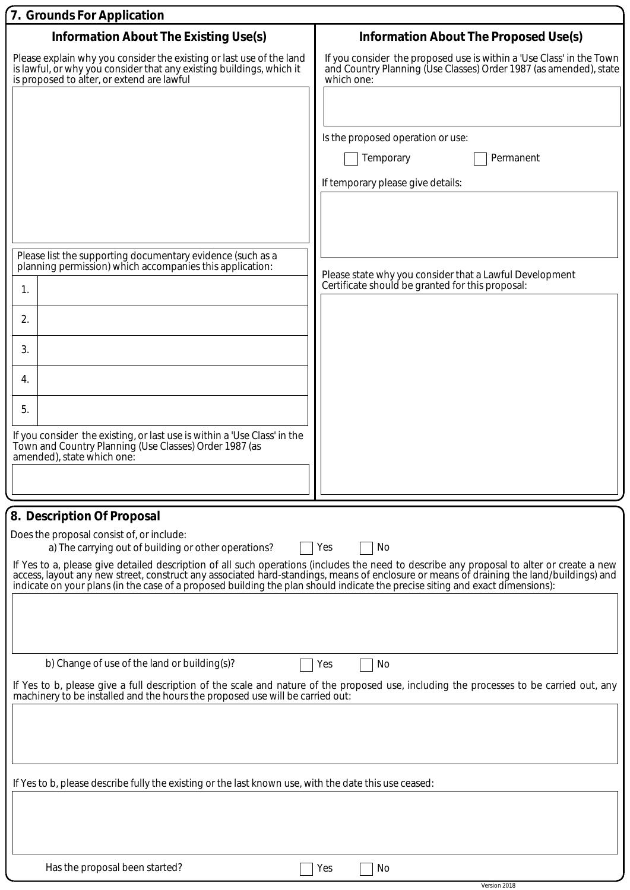| 7. Grounds For Application                                                                                                                                                                 |                                                                                                                                                                                                                                   |
|--------------------------------------------------------------------------------------------------------------------------------------------------------------------------------------------|-----------------------------------------------------------------------------------------------------------------------------------------------------------------------------------------------------------------------------------|
| <b>Information About The Existing Use(s)</b>                                                                                                                                               | Information About The Proposed Use(s)                                                                                                                                                                                             |
| Please explain why you consider the existing or last use of the land<br>is lawful, or why you consider that any existing buildings, which it<br>is proposed to alter, or extend are lawful | If you consider the proposed use is within a 'Use Class' in the Town<br>and Country Planning (Use Classes) Order 1987 (as amended), state<br>which one:                                                                           |
|                                                                                                                                                                                            |                                                                                                                                                                                                                                   |
|                                                                                                                                                                                            | Is the proposed operation or use:                                                                                                                                                                                                 |
|                                                                                                                                                                                            | Temporary<br>Permanent                                                                                                                                                                                                            |
|                                                                                                                                                                                            | If temporary please give details:                                                                                                                                                                                                 |
|                                                                                                                                                                                            |                                                                                                                                                                                                                                   |
|                                                                                                                                                                                            |                                                                                                                                                                                                                                   |
| Please list the supporting documentary evidence (such as a                                                                                                                                 |                                                                                                                                                                                                                                   |
| planning permission) which accompanies this application:                                                                                                                                   | Please state why you consider that a Lawful Development                                                                                                                                                                           |
| 1.                                                                                                                                                                                         | Certificate should be granted for this proposal:                                                                                                                                                                                  |
| 2.                                                                                                                                                                                         |                                                                                                                                                                                                                                   |
| 3.                                                                                                                                                                                         |                                                                                                                                                                                                                                   |
|                                                                                                                                                                                            |                                                                                                                                                                                                                                   |
| 4.                                                                                                                                                                                         |                                                                                                                                                                                                                                   |
| 5.                                                                                                                                                                                         |                                                                                                                                                                                                                                   |
| If you consider the existing, or last use is within a 'Use Class' in the<br>Town and Country Planning (Use Classes) Order 1987 (as                                                         |                                                                                                                                                                                                                                   |
| amended), state which one:                                                                                                                                                                 |                                                                                                                                                                                                                                   |
|                                                                                                                                                                                            |                                                                                                                                                                                                                                   |
| 8. Description Of Proposal                                                                                                                                                                 |                                                                                                                                                                                                                                   |
| Does the proposal consist of, or include:<br>a) The carrying out of building or other operations?                                                                                          | Yes<br>No                                                                                                                                                                                                                         |
|                                                                                                                                                                                            | If Yes to a, please give detailed description of all such operations (includes the need to describe any proposal to alter or create a new<br>access, layout any new street, construct any associated hard-standings, means of enc |
| indicate on your plans (in the case of a proposed building the plan should indicate the precise siting and exact dimensions):                                                              |                                                                                                                                                                                                                                   |
|                                                                                                                                                                                            |                                                                                                                                                                                                                                   |
|                                                                                                                                                                                            |                                                                                                                                                                                                                                   |
| b) Change of use of the land or building(s)?                                                                                                                                               | Yes<br>No                                                                                                                                                                                                                         |
| machinery to be installed and the hours the proposed use will be carried out.                                                                                                              | If Yes to b, please give a full description of the scale and nature of the proposed use, including the processes to be carried out, any                                                                                           |
|                                                                                                                                                                                            |                                                                                                                                                                                                                                   |
|                                                                                                                                                                                            |                                                                                                                                                                                                                                   |
|                                                                                                                                                                                            |                                                                                                                                                                                                                                   |
| If Yes to b, please describe fully the existing or the last known use, with the date this use ceased:                                                                                      |                                                                                                                                                                                                                                   |
|                                                                                                                                                                                            |                                                                                                                                                                                                                                   |
|                                                                                                                                                                                            |                                                                                                                                                                                                                                   |
|                                                                                                                                                                                            |                                                                                                                                                                                                                                   |
| Has the proposal been started?                                                                                                                                                             | Yes<br>No                                                                                                                                                                                                                         |

Version 2018